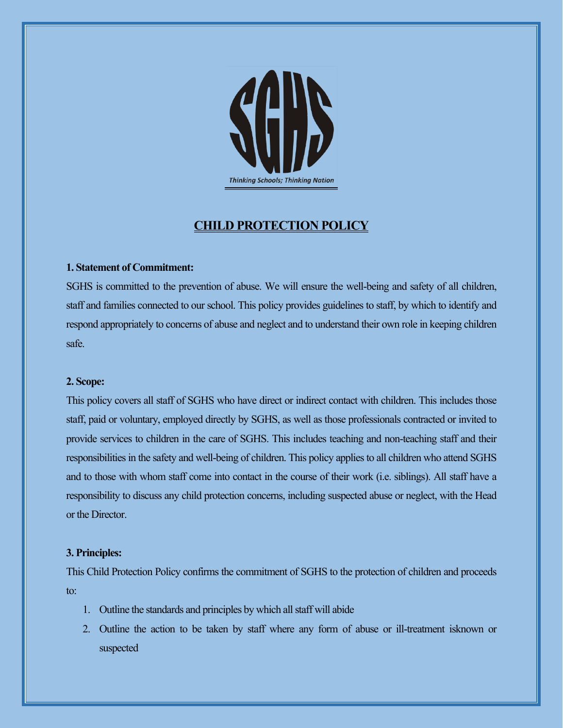

# **CHILD PROTECTION POLICY**

## **1. Statement of Commitment:**

SGHS is committed to the prevention of abuse. We will ensure the well-being and safety of all children, staff and families connected to our school. This policy provides guidelines to staff, by which to identify and respond appropriately to concerns of abuse and neglect and to understand their own role in keeping children safe.

### **2. Scope:**

This policy covers all staff of SGHS who have direct or indirect contact with children. This includes those staff, paid or voluntary, employed directly by SGHS, as well as those professionals contracted or invited to provide services to children in the care of SGHS. This includes teaching and non-teaching staff and their responsibilities in the safety and well-being of children. This policy applies to all children who attend SGHS and to those with whom staff come into contact in the course of their work (i.e. siblings). All staff have a responsibility to discuss any child protection concerns, including suspected abuse or neglect, with the Head or the Director.

## **3. Principles:**

This Child Protection Policy confirms the commitment of SGHS to the protection of children and proceeds to:

- 1. Outline the standards and principles by which all staff will abide
- 2. Outline the action to be taken by staff where any form of abuse or ill-treatment isknown or suspected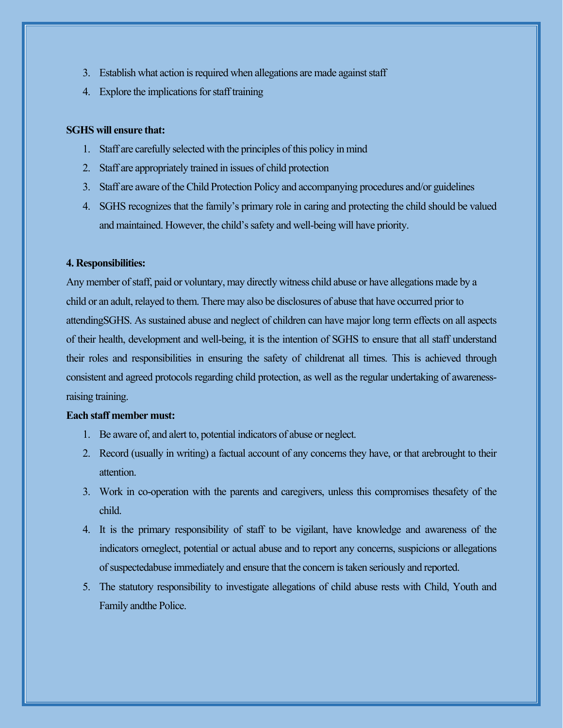- 3. Establish what action is required when allegations are made against staff
- 4. Explore the implications for staff training

#### **SGHS will ensure that:**

- 1. Staff are carefully selected with the principles of this policy in mind
- 2. Staff are appropriately trained in issues of child protection
- 3. Staff are aware of the Child Protection Policy and accompanying procedures and/or guidelines
- 4. SGHS recognizes that the family's primary role in caring and protecting the child should be valued and maintained. However, the child's safety and well-being will have priority.

#### **4. Responsibilities:**

Any member of staff, paid or voluntary, may directly witness child abuse or have allegations made by a child or an adult, relayed to them. There may also be disclosures of abuse that have occurred prior to attendingSGHS. As sustained abuse and neglect of children can have major long term effects on all aspects of their health, development and well-being, it is the intention of SGHS to ensure that all staff understand their roles and responsibilities in ensuring the safety of childrenat all times. This is achieved through consistent and agreed protocols regarding child protection, as well as the regular undertaking of awarenessraising training.

#### **Each staff member must:**

- 1. Be aware of, and alert to, potential indicators of abuse or neglect.
- 2. Record (usually in writing) a factual account of any concerns they have, or that arebrought to their attention.
- 3. Work in co-operation with the parents and caregivers, unless this compromises thesafety of the child.
- 4. It is the primary responsibility of staff to be vigilant, have knowledge and awareness of the indicators orneglect, potential or actual abuse and to report any concerns, suspicions or allegations of suspectedabuse immediately and ensure that the concern is taken seriously and reported.
- 5. The statutory responsibility to investigate allegations of child abuse rests with Child, Youth and Family andthe Police.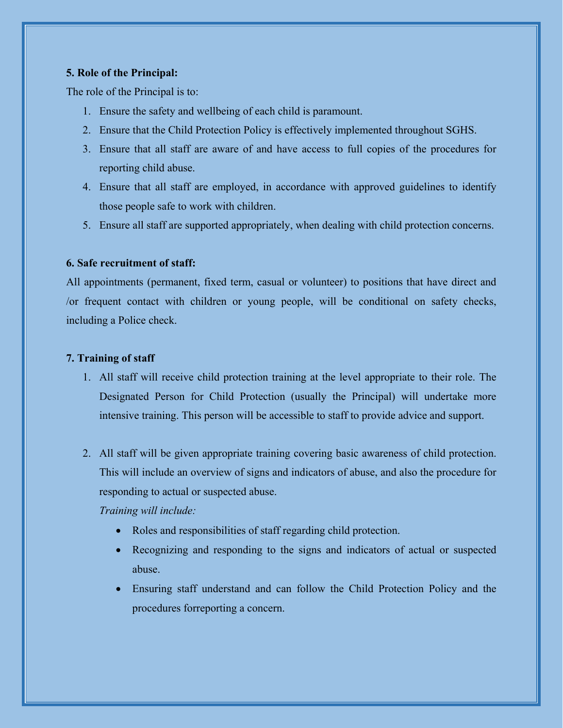## **5. Role of the Principal:**

The role of the Principal is to:

- 1. Ensure the safety and wellbeing of each child is paramount.
- 2. Ensure that the Child Protection Policy is effectively implemented throughout SGHS.
- 3. Ensure that all staff are aware of and have access to full copies of the procedures for reporting child abuse.
- 4. Ensure that all staff are employed, in accordance with approved guidelines to identify those people safe to work with children.
- 5. Ensure all staff are supported appropriately, when dealing with child protection concerns.

# **6. Safe recruitment of staff:**

All appointments (permanent, fixed term, casual or volunteer) to positions that have direct and /or frequent contact with children or young people, will be conditional on safety checks, including a Police check.

## **7. Training of staff**

- 1. All staff will receive child protection training at the level appropriate to their role. The Designated Person for Child Protection (usually the Principal) will undertake more intensive training. This person will be accessible to staff to provide advice and support.
- 2. All staff will be given appropriate training covering basic awareness of child protection. This will include an overview of signs and indicators of abuse, and also the procedure for responding to actual or suspected abuse.

# *Training will include:*

- Roles and responsibilities of staff regarding child protection.
- Recognizing and responding to the signs and indicators of actual or suspected abuse.
- Ensuring staff understand and can follow the Child Protection Policy and the procedures forreporting a concern.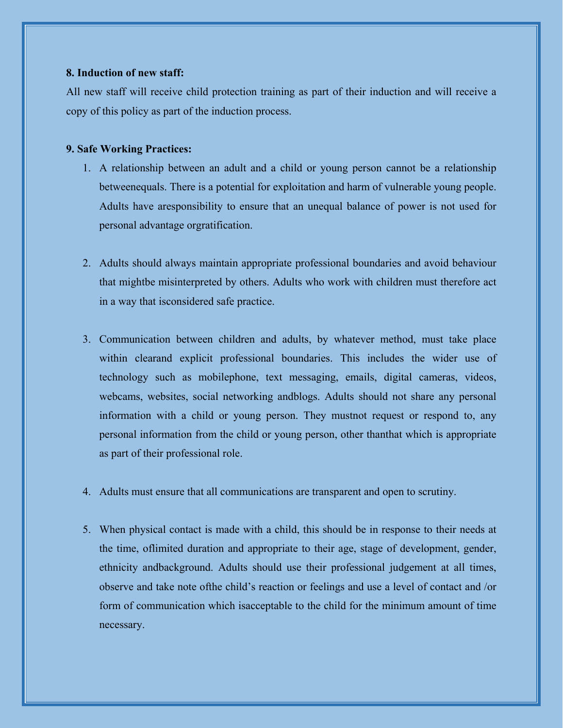### **8. Induction of new staff:**

All new staff will receive child protection training as part of their induction and will receive a copy of this policy as part of the induction process.

#### **9. Safe Working Practices:**

- 1. A relationship between an adult and a child or young person cannot be a relationship betweenequals. There is a potential for exploitation and harm of vulnerable young people. Adults have aresponsibility to ensure that an unequal balance of power is not used for personal advantage orgratification.
- 2. Adults should always maintain appropriate professional boundaries and avoid behaviour that mightbe misinterpreted by others. Adults who work with children must therefore act in a way that isconsidered safe practice.
- 3. Communication between children and adults, by whatever method, must take place within clearand explicit professional boundaries. This includes the wider use of technology such as mobilephone, text messaging, emails, digital cameras, videos, webcams, websites, social networking andblogs. Adults should not share any personal information with a child or young person. They mustnot request or respond to, any personal information from the child or young person, other thanthat which is appropriate as part of their professional role.
- 4. Adults must ensure that all communications are transparent and open to scrutiny.
- 5. When physical contact is made with a child, this should be in response to their needs at the time, oflimited duration and appropriate to their age, stage of development, gender, ethnicity andbackground. Adults should use their professional judgement at all times, observe and take note ofthe child's reaction or feelings and use a level of contact and /or form of communication which isacceptable to the child for the minimum amount of time necessary.